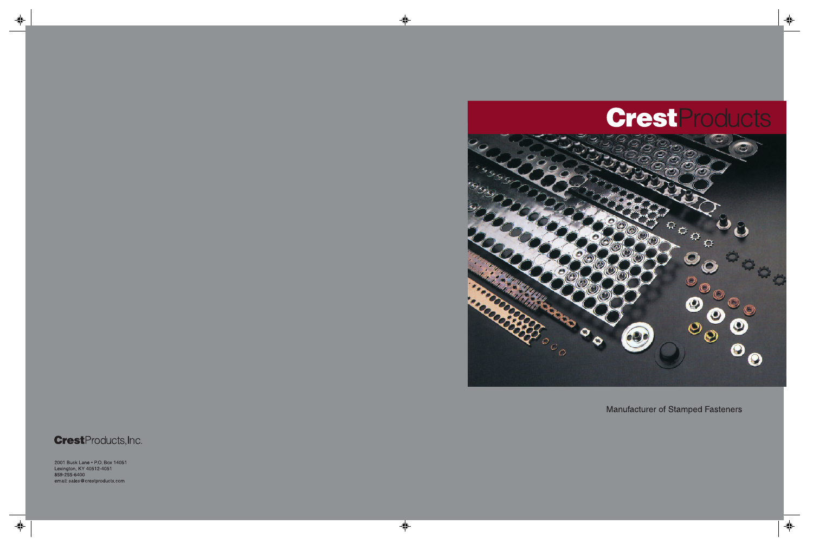# **CrestProducts**



Manufacturer of Stamped Fasteners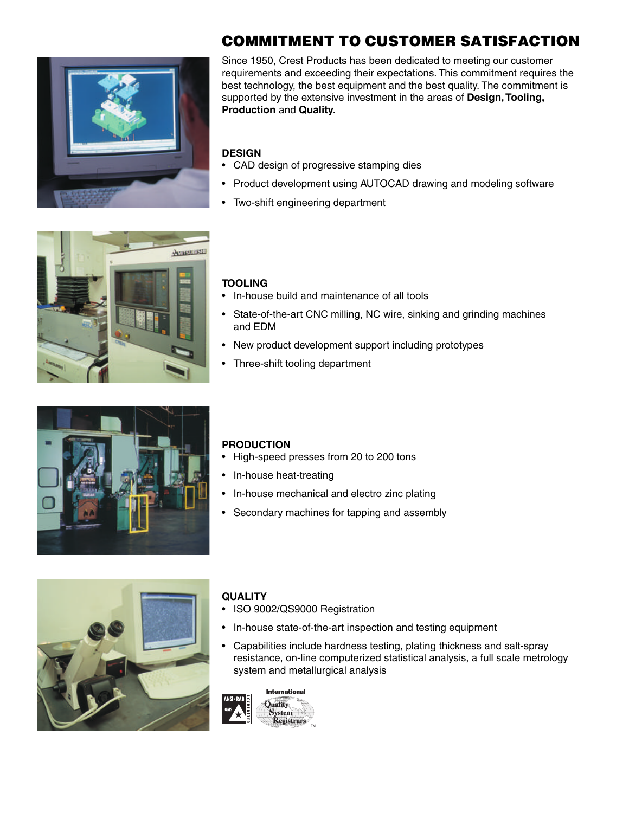

### **COMMITMENT TO CUSTOMER SATISFACTION**

Since 1950, Crest Products has been dedicated to meeting our customer requirements and exceeding their expectations. This commitment requires the best technology, the best equipment and the best quality. The commitment is supported by the extensive investment in the areas of **Design, Tooling, Production** and **Quality**.

### **DESIGN**

- CAD design of progressive stamping dies
- Product development using AUTOCAD drawing and modeling software
- Two-shift engineering department



### **TOOLING**

- In-house build and maintenance of all tools
- State-of-the-art CNC milling, NC wire, sinking and grinding machines and EDM
- New product development support including prototypes
- Three-shift tooling department



### **PRODUCTION**

- High-speed presses from 20 to 200 tons
- In-house heat-treating
- In-house mechanical and electro zinc plating
- Secondary machines for tapping and assembly



#### **QUALITY**

- ISO 9002/QS9000 Registration
- In-house state-of-the-art inspection and testing equipment
- Capabilities include hardness testing, plating thickness and salt-spray resistance, on-line computerized statistical analysis, a full scale metrology system and metallurgical analysis

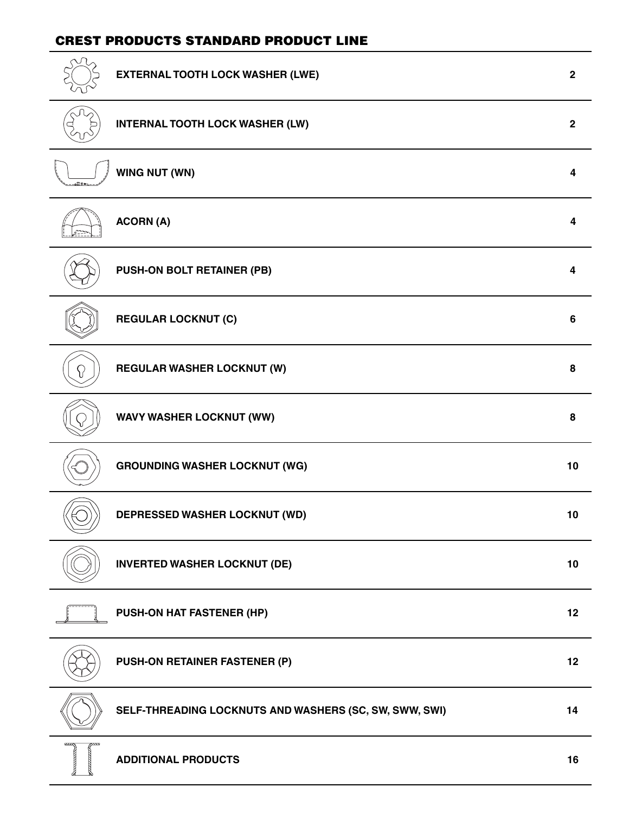### **CREST PRODUCTS STANDARD PRODUCT LINE**

|              | <b>EXTERNAL TOOTH LOCK WASHER (LWE)</b>                | $\mathbf{2}$            |
|--------------|--------------------------------------------------------|-------------------------|
|              | <b>INTERNAL TOOTH LOCK WASHER (LW)</b>                 | $\overline{\mathbf{2}}$ |
|              | WING NUT (WN)                                          | 4                       |
|              | <b>ACORN (A)</b>                                       | 4                       |
|              | <b>PUSH-ON BOLT RETAINER (PB)</b>                      | 4                       |
|              | <b>REGULAR LOCKNUT (C)</b>                             | $6\phantom{1}6$         |
| {}           | <b>REGULAR WASHER LOCKNUT (W)</b>                      | 8                       |
|              | <b>WAVY WASHER LOCKNUT (WW)</b>                        | 8                       |
|              | <b>GROUNDING WASHER LOCKNUT (WG)</b>                   | 10                      |
|              | <b>DEPRESSED WASHER LOCKNUT (WD)</b>                   | 10                      |
|              | <b>INVERTED WASHER LOCKNUT (DE)</b>                    | 10                      |
|              | PUSH-ON HAT FASTENER (HP)                              | 12                      |
|              | <b>PUSH-ON RETAINER FASTENER (P)</b>                   | 12                      |
|              | SELF-THREADING LOCKNUTS AND WASHERS (SC, SW, SWW, SWI) | 14                      |
| $\mathbb{Z}$ | <b>ADDITIONAL PRODUCTS</b>                             | 16                      |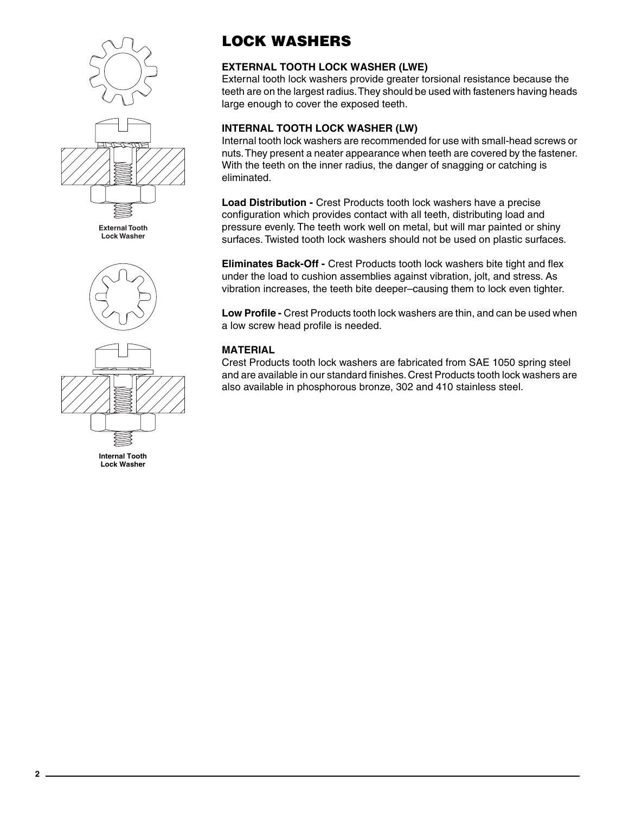



**Internal Tooth Lock Washer**

# **LOCK WASHERS**

### **EXTERNAL TOOTH LOCK WASHER (LWE)**

External tooth lock washers provide greater torsional resistance because the teeth are on the largest radius. They should be used with fasteners having heads large enough to cover the exposed teeth.

### **INTERNAL TOOTH LOCK WASHER (LW)**

Internal tooth lock washers are recommended for use with small-head screws or nuts. They present a neater appearance when teeth are covered by the fastener. With the teeth on the inner radius, the danger of snagging or catching is eliminated.

**Load Distribution -** Crest Products tooth lock washers have a precise configuration which provides contact with all teeth, distributing load and pressure evenly. The teeth work well on metal, but will mar painted or shiny surfaces. Twisted tooth lock washers should not be used on plastic surfaces.

**Eliminates Back-Off -** Crest Products tooth lock washers bite tight and flex under the load to cushion assemblies against vibration, jolt, and stress. As vibration increases, the teeth bite deeper–causing them to lock even tighter.

**Low Profile -** Crest Products tooth lock washers are thin, and can be used when a low screw head profile is needed.

### **MATERIAL**

Crest Products tooth lock washers are fabricated from SAE 1050 spring steel and are available in our standard finishes. Crest Products tooth lock washers are also available in phosphorous bronze, 302 and 410 stainless steel.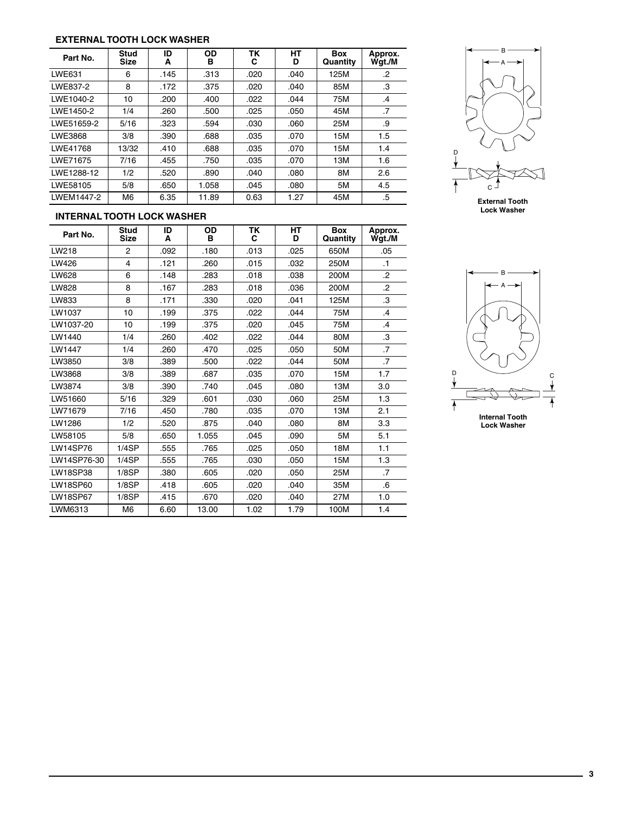#### **EXTERNAL TOOTH LOCK WASHER**

| Part No.   | <b>Stud</b><br><b>Size</b> | ID<br>A | <b>OD</b><br>в | TK<br>С | <b>HT</b><br>D | <b>Box</b><br>Quantity | Approx.<br>Wgt./M |
|------------|----------------------------|---------|----------------|---------|----------------|------------------------|-------------------|
| LWE631     | 6                          | .145    | .313           | .020    | .040           | 125M                   | .2                |
| LWE837-2   | 8                          | .172    | .375           | .020    | .040           | 85M                    | .3                |
| LWE1040-2  | 10                         | .200    | .400           | .022    | .044           | 75M                    | $\cdot$           |
| LWE1450-2  | 1/4                        | .260    | .500           | .025    | .050           | 45M                    | .7                |
| LWE51659-2 | 5/16                       | .323    | .594           | .030    | .060           | 25M                    | .9                |
| LWE3868    | 3/8                        | .390    | .688           | .035    | .070           | 15M                    | 1.5               |
| LWE41768   | 13/32                      | .410    | .688           | .035    | .070           | 15M                    | 1.4               |
| LWE71675   | 7/16                       | .455    | .750           | .035    | .070           | 13M                    | 1.6               |
| LWE1288-12 | 1/2                        | .520    | .890           | .040    | .080           | 8M                     | 2.6               |
| LWE58105   | 5/8                        | .650    | 1.058          | .045    | .080           | 5M                     | 4.5               |
| LWEM1447-2 | M6                         | 6.35    | 11.89          | 0.63    | 1.27           | 45M                    | .5                |



**External Tooth Lock Washer**

### **INTERNAL TOOTH LOCK WASHER**

| Part No.        | <b>Stud</b><br><b>Size</b> | ID<br>A | OD<br>в | <b>TK</b><br>C | <b>HT</b><br>D | <b>Box</b><br>Quantity | Approx.<br>Wgt./M |
|-----------------|----------------------------|---------|---------|----------------|----------------|------------------------|-------------------|
| LW218           | $\overline{2}$             | .092    | .180    | .013           | .025           | 650M                   | .05               |
| LW426           | 4                          | .121    | .260    | .015           | .032           | 250M                   | $\cdot$ 1         |
| LW628           | 6                          | .148    | .283    | .018           | .038           | 200M                   | $\overline{2}$    |
| LW828           | 8                          | .167    | .283    | .018           | .036           | 200M                   | $\overline{2}$    |
| LW833           | 8                          | .171    | .330    | .020           | .041           | 125M                   | .3                |
| LW1037          | 10                         | .199    | .375    | .022           | .044           | 75M                    | $\overline{A}$    |
| LW1037-20       | 10                         | .199    | .375    | .020           | .045           | 75M                    | .4                |
| LW1440          | 1/4                        | .260    | .402    | .022           | .044           | 80M                    | .3                |
| LW1447          | 1/4                        | .260    | .470    | .025           | .050           | 50M                    | $\overline{7}$    |
| LW3850          | 3/8                        | .389    | .500    | .022           | .044           | 50M                    | $\overline{7}$    |
| LW3868          | 3/8                        | .389    | .687    | .035           | .070           | 15M                    | 1.7               |
| LW3874          | 3/8                        | .390    | .740    | .045           | .080           | 13M                    | 3.0               |
| LW51660         | 5/16                       | .329    | .601    | .030           | .060           | 25M                    | 1.3               |
| LW71679         | 7/16                       | .450    | .780    | .035           | .070           | 13M                    | 2.1               |
| LW1286          | 1/2                        | .520    | .875    | .040           | .080           | 8M                     | 3.3               |
| LW58105         | 5/8                        | .650    | 1.055   | .045           | .090           | 5M                     | 5.1               |
| <b>LW14SP76</b> | 1/4SP                      | .555    | .765    | .025           | .050           | 18M                    | 1.1               |
| LW14SP76-30     | 1/4SP                      | .555    | .765    | .030           | .050           | 15M                    | 1.3               |
| <b>LW18SP38</b> | 1/8SP                      | .380    | .605    | .020           | .050           | 25M                    | $\overline{7}$    |
| LW18SP60        | 1/8SP                      | .418    | .605    | .020           | .040           | 35M                    | .6                |
| <b>LW18SP67</b> | 1/8SP                      | .415    | .670    | .020           | .040           | 27M                    | 1.0               |
| LWM6313         | M <sub>6</sub>             | 6.60    | 13.00   | 1.02           | 1.79           | 100M                   | 1.4               |

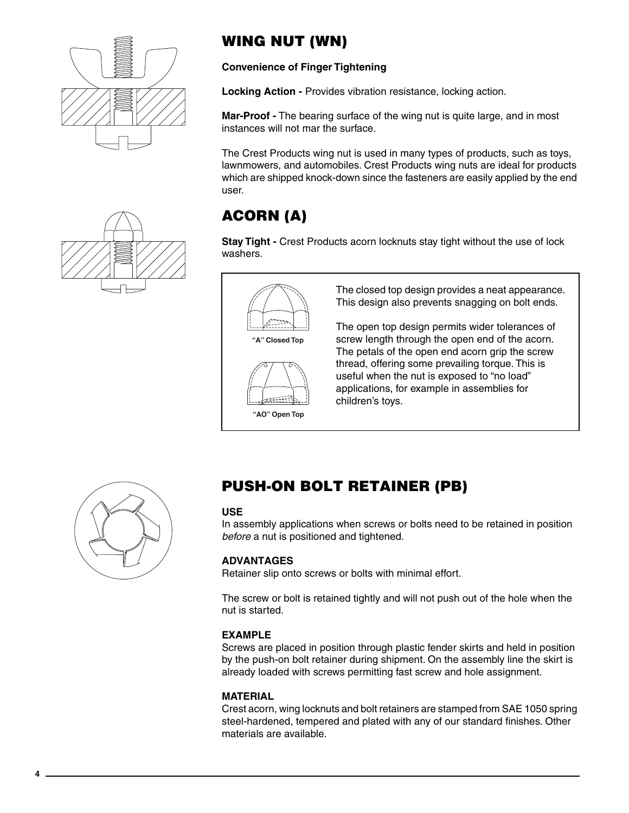



# **WING NUT (WN)**

**Convenience of Finger Tightening**

**Locking Action -** Provides vibration resistance, locking action.

**Mar-Proof -** The bearing surface of the wing nut is quite large, and in most instances will not mar the surface.

The Crest Products wing nut is used in many types of products, such as toys, lawnmowers, and automobiles. Crest Products wing nuts are ideal for products which are shipped knock-down since the fasteners are easily applied by the end user.

# **ACORN (A)**

**Stay Tight -** Crest Products acorn locknuts stay tight without the use of lock washers.





The closed top design provides a neat appearance. This design also prevents snagging on bolt ends.

The open top design permits wider tolerances of screw length through the open end of the acorn. The petals of the open end acorn grip the screw thread, offering some prevailing torque. This is useful when the nut is exposed to "no load" applications, for example in assemblies for children's toys.



# **PUSH-ON BOLT RETAINER (PB)**

### **USE**

In assembly applications when screws or bolts need to be retained in position *before* a nut is positioned and tightened.

### **ADVANTAGES**

Retainer slip onto screws or bolts with minimal effort.

The screw or bolt is retained tightly and will not push out of the hole when the nut is started.

### **EXAMPLE**

Screws are placed in position through plastic fender skirts and held in position by the push-on bolt retainer during shipment. On the assembly line the skirt is already loaded with screws permitting fast screw and hole assignment.

### **MATERIAL**

Crest acorn, wing locknuts and bolt retainers are stamped from SAE 1050 spring steel-hardened, tempered and plated with any of our standard finishes. Other materials are available.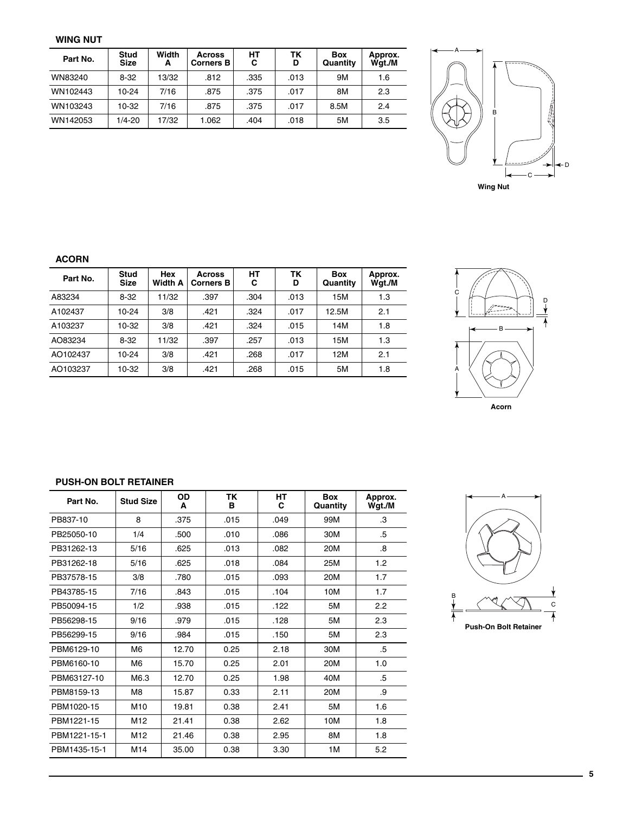#### **WING NUT**

| Part No. | Stud<br><b>Size</b> | Width<br>А | <b>Across</b><br><b>Corners B</b> | HТ<br>C | ΤK<br>D | <b>Box</b><br>Quantity | Approx.<br>Wgt./M |
|----------|---------------------|------------|-----------------------------------|---------|---------|------------------------|-------------------|
| WN83240  | 8-32                | 13/32      | .812                              | .335    | .013    | 9M                     | 1.6               |
| WN102443 | $10 - 24$           | 7/16       | .875                              | .375    | .017    | 8M                     | 2.3               |
| WN103243 | $10-32$             | 7/16       | .875                              | .375    | .017    | 8.5M                   | 2.4               |
| WN142053 | $1/4 - 20$          | 17/32      | 1.062                             | .404    | .018    | 5M                     | 3.5               |



#### **ACORN**

| Part No. | <b>Stud</b><br><b>Size</b> | Hex<br><b>Width A</b> | <b>Across</b><br><b>Corners B</b> | HT<br>С | ΤK<br>D | <b>Box</b><br>Quantity | Approx.<br>Wgt./M |
|----------|----------------------------|-----------------------|-----------------------------------|---------|---------|------------------------|-------------------|
| A83234   | $8-32$                     | 11/32                 | .397                              | .304    | .013    | 15M                    | 1.3               |
| A102437  | $10 - 24$                  | 3/8                   | .421                              | .324    | .017    | 12.5M                  | 2.1               |
| A103237  | $10-32$                    | 3/8                   | .421                              | .324    | .015    | 14M                    | 1.8               |
| AO83234  | $8-32$                     | 11/32                 | .397                              | .257    | .013    | 15M                    | 1.3               |
| AO102437 | $10-24$                    | 3/8                   | .421                              | .268    | .017    | 12M                    | 2.1               |
| AO103237 | 10-32                      | 3/8                   | .421                              | .268    | .015    | 5M                     | 1.8               |



### **PUSH-ON BOLT RETAINER**

| Part No.     | <b>Stud Size</b> | OD<br>A | TK<br>в | HT<br>C | <b>Box</b><br>Quantity | Approx.<br>Wgt./M |
|--------------|------------------|---------|---------|---------|------------------------|-------------------|
| PB837-10     | 8                | .375    | .015    | .049    | 99M                    | .3                |
| PB25050-10   | 1/4              | .500    | .010    | .086    | 30M                    | .5                |
| PB31262-13   | 5/16             | .625    | .013    | .082    | 20M                    | .8                |
| PB31262-18   | 5/16             | .625    | .018    | .084    | 25M                    | 1.2               |
| PB37578-15   | 3/8              | .780    | .015    | .093    | 20M                    | 1.7               |
| PB43785-15   | 7/16             | .843    | .015    | .104    | 10M                    | 1.7               |
| PB50094-15   | 1/2              | .938    | .015    | .122    | 5M                     | 2.2               |
| PB56298-15   | 9/16             | .979    | .015    | .128    | 5M                     | 2.3               |
| PB56299-15   | 9/16             | .984    | .015    | .150    | 5M                     | 2.3               |
| PBM6129-10   | M <sub>6</sub>   | 12.70   | 0.25    | 2.18    | 30M                    | .5                |
| PBM6160-10   | M <sub>6</sub>   | 15.70   | 0.25    | 2.01    | 20M                    | 1.0               |
| PBM63127-10  | M6.3             | 12.70   | 0.25    | 1.98    | 40M                    | .5                |
| PBM8159-13   | M <sub>8</sub>   | 15.87   | 0.33    | 2.11    | 20M                    | .9                |
| PBM1020-15   | M <sub>10</sub>  | 19.81   | 0.38    | 2.41    | 5M                     | 1.6               |
| PBM1221-15   | M <sub>12</sub>  | 21.41   | 0.38    | 2.62    | 10M                    | 1.8               |
| PBM1221-15-1 | M <sub>12</sub>  | 21.46   | 0.38    | 2.95    | 8M                     | 1.8               |
| PBM1435-15-1 | M <sub>14</sub>  | 35.00   | 0.38    | 3.30    | 1M                     | 5.2               |

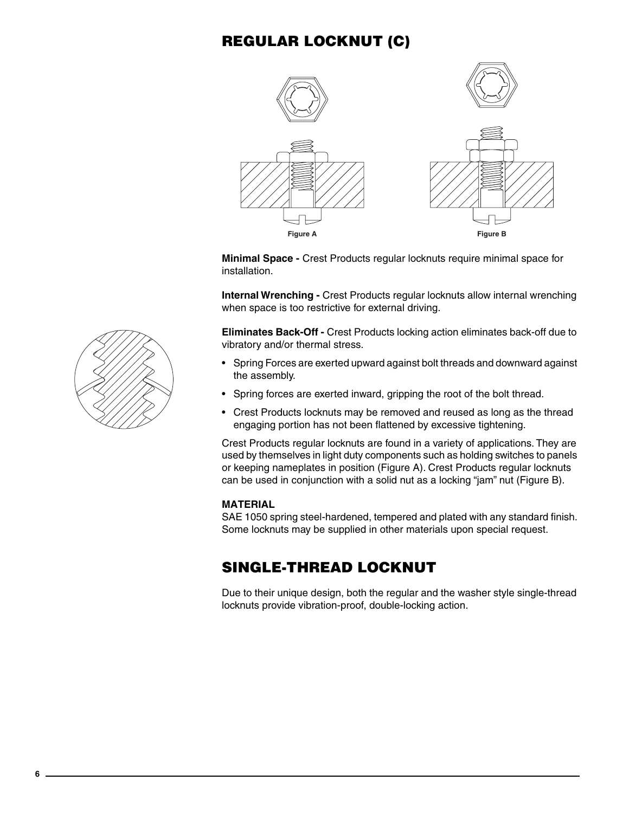### **REGULAR LOCKNUT (C)**



**Minimal Space -** Crest Products regular locknuts require minimal space for installation.

**Internal Wrenching -** Crest Products regular locknuts allow internal wrenching when space is too restrictive for external driving.

**Eliminates Back-Off -** Crest Products locking action eliminates back-off due to vibratory and/or thermal stress.

- Spring Forces are exerted upward against bolt threads and downward against the assembly.
- Spring forces are exerted inward, gripping the root of the bolt thread.
- Crest Products locknuts may be removed and reused as long as the thread engaging portion has not been flattened by excessive tightening.

Crest Products regular locknuts are found in a variety of applications. They are used by themselves in light duty components such as holding switches to panels or keeping nameplates in position (Figure A). Crest Products regular locknuts can be used in conjunction with a solid nut as a locking "jam" nut (Figure B).

### **MATERIAL**

SAE 1050 spring steel-hardened, tempered and plated with any standard finish. Some locknuts may be supplied in other materials upon special request.

### **SINGLE-THREAD LOCKNUT**

Due to their unique design, both the regular and the washer style single-thread locknuts provide vibration-proof, double-locking action.

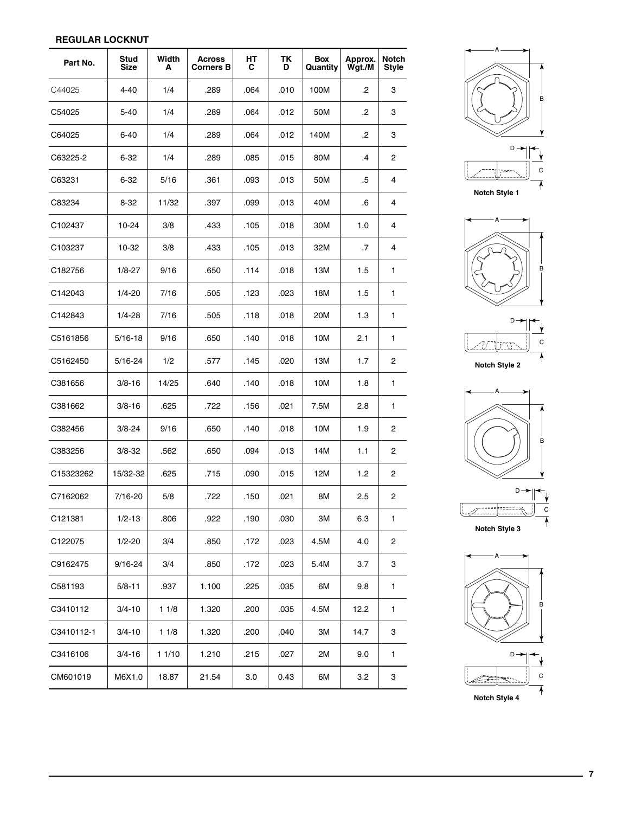### **REGULAR LOCKNUT**

| Part No.   | Stud<br>Size | Width<br>A | Across<br><b>Corners B</b> | HТ<br>С | ΤK<br>D | Box<br>Quantity | Approx.<br>Wgt./M | <b>Notch</b><br><b>Style</b> |
|------------|--------------|------------|----------------------------|---------|---------|-----------------|-------------------|------------------------------|
| C44025     | 4-40         | 1/4        | .289                       | .064    | .010    | 100M            | .2                | 3                            |
| C54025     | 5-40         | 1/4        | .289                       | .064    | .012    | 50M             | .2                | 3                            |
| C64025     | $6 - 40$     | 1/4        | .289                       | .064    | .012    | 140M            | .2                | 3                            |
| C63225-2   | 6-32         | 1/4        | .289                       | .085    | .015    | 80M             | .4                | 2                            |
| C63231     | 6-32         | 5/16       | .361                       | .093    | .013    | 50M             | .5                | 4                            |
| C83234     | 8-32         | 11/32      | .397                       | .099    | .013    | 40M             | .6                | 4                            |
| C102437    | 10-24        | 3/8        | .433                       | .105    | .018    | 30M             | 1.0               | 4                            |
| C103237    | 10-32        | 3/8        | .433                       | .105    | .013    | 32M             | .7                | 4                            |
| C182756    | $1/8 - 27$   | 9/16       | .650                       | .114    | .018    | 13M             | 1.5               | 1                            |
| C142043    | $1/4 - 20$   | 7/16       | .505                       | .123    | .023    | 18M             | 1.5               | 1                            |
| C142843    | 1/4-28       | 7/16       | .505                       | .118    | .018    | 20M             | 1.3               | 1                            |
| C5161856   | 5/16-18      | 9/16       | .650                       | .140    | .018    | 10M             | 2.1               | 1                            |
| C5162450   | 5/16-24      | 1/2        | .577                       | .145    | .020    | 13M             | 1.7               | 2                            |
| C381656    | $3/8 - 16$   | 14/25      | .640                       | .140    | .018    | 10M             | 1.8               | 1                            |
| C381662    | $3/8 - 16$   | .625       | .722                       | .156    | .021    | 7.5M            | 2.8               | 1                            |
| C382456    | $3/8 - 24$   | 9/16       | .650                       | .140    | .018    | 10M             | 1.9               | 2                            |
| C383256    | $3/8 - 32$   | .562       | .650                       | .094    | .013    | 14M             | 1.1               | 2                            |
| C15323262  | 15/32-32     | .625       | .715                       | .090    | .015    | 12M             | 1.2               | 2                            |
| C7162062   | 7/16-20      | 5/8        | .722                       | .150    | .021    | 8M              | 2.5               | 2                            |
| C121381    | $1/2 - 13$   | .806       | .922                       | .190    | .030    | 3M              | 6.3               | 1                            |
| C122075    | $1/2 - 20$   | 3/4        | .850                       | .172    | .023    | 4.5M            | 4.0               | 2                            |
| C9162475   | $9/16 - 24$  | 3/4        | .850                       | .172    | .023    | 5.4M            | 3.7               | 3                            |
| C581193    | $5/8 - 11$   | .937       | 1.100                      | .225    | .035    | 6M              | 9.8               | 1                            |
| C3410112   | $3/4 - 10$   | 11/8       | 1.320                      | .200    | .035    | 4.5M            | 12.2              | 1                            |
| C3410112-1 | $3/4 - 10$   | 11/8       | 1.320                      | .200    | .040    | 3M              | 14.7              | 3                            |
| C3416106   | $3/4 - 16$   | 11/10      | 1.210                      | .215    | .027    | 2M              | 9.0               | 1                            |
| CM601019   | M6X1.0       | 18.87      | 21.54                      | 3.0     | 0.43    | 6M              | 3.2               | 3                            |













**7**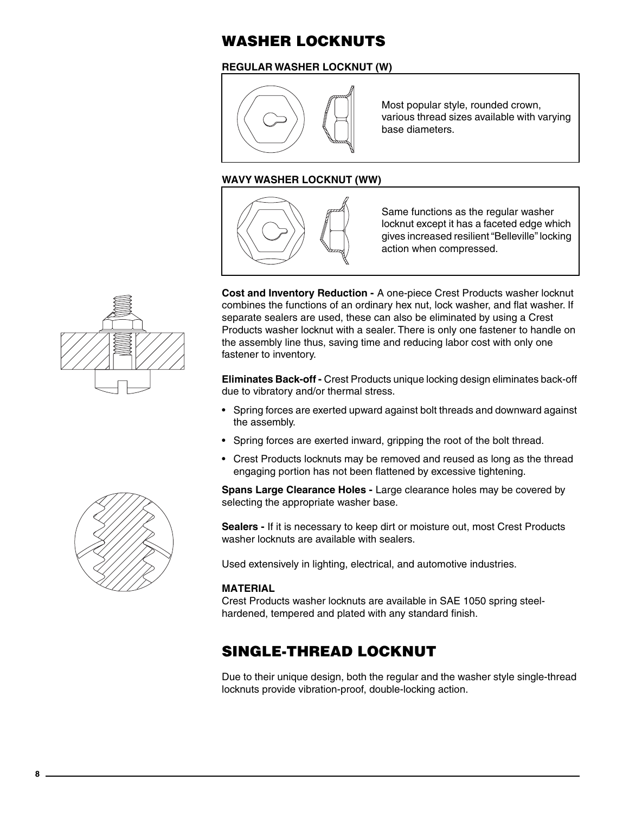### **WASHER LOCKNUTS**

### **REGULAR WASHER LOCKNUT (W)**



Most popular style, rounded crown, various thread sizes available with varying base diameters.

### **WAVY WASHER LOCKNUT (WW)**



Same functions as the regular washer locknut except it has a faceted edge which gives increased resilient "Belleville" locking action when compressed.

**Cost and Inventory Reduction -** A one-piece Crest Products washer locknut combines the functions of an ordinary hex nut, lock washer, and flat washer. If separate sealers are used, these can also be eliminated by using a Crest Products washer locknut with a sealer. There is only one fastener to handle on the assembly line thus, saving time and reducing labor cost with only one fastener to inventory.

**Eliminates Back-off -** Crest Products unique locking design eliminates back-off due to vibratory and/or thermal stress.

- Spring forces are exerted upward against bolt threads and downward against the assembly.
- Spring forces are exerted inward, gripping the root of the bolt thread.
- Crest Products locknuts may be removed and reused as long as the thread engaging portion has not been flattened by excessive tightening.

**Spans Large Clearance Holes -** Large clearance holes may be covered by selecting the appropriate washer base.

**Sealers -** If it is necessary to keep dirt or moisture out, most Crest Products washer locknuts are available with sealers.

Used extensively in lighting, electrical, and automotive industries.

### **MATERIAL**

Crest Products washer locknuts are available in SAE 1050 spring steelhardened, tempered and plated with any standard finish.

### **SINGLE-THREAD LOCKNUT**

Due to their unique design, both the regular and the washer style single-thread locknuts provide vibration-proof, double-locking action.



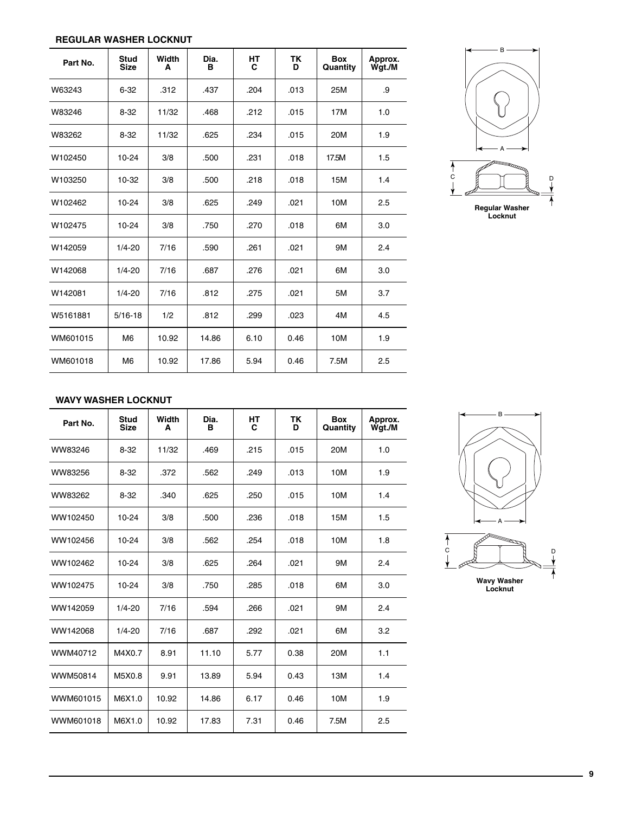### **REGULAR WASHER LOCKNUT**

| Part No. | <b>Stud</b><br><b>Size</b> | Width<br>A | Dia.<br>в | <b>HT</b><br>C | TK<br>D | <b>Box</b><br>Quantity | Approx.<br>Wgt./M |
|----------|----------------------------|------------|-----------|----------------|---------|------------------------|-------------------|
| W63243   | $6 - 32$                   | .312       | .437      | .204           | .013    | 25M                    | .9                |
| W83246   | $8 - 32$                   | 11/32      | .468      | .212           | .015    | 17M                    | 1.0               |
| W83262   | $8 - 32$                   | 11/32      | .625      | .234           | .015    | 20M                    | 1.9               |
| W102450  | 10-24                      | 3/8        | .500      | .231           | .018    | 17.5M                  | 1.5               |
| W103250  | 10-32                      | 3/8        | .500      | .218           | .018    | 15M                    | 1.4               |
| W102462  | 10-24                      | 3/8        | .625      | .249           | .021    | 10M                    | 2.5               |
| W102475  | $10 - 24$                  | 3/8        | .750      | .270           | .018    | 6M                     | 3.0               |
| W142059  | $1/4 - 20$                 | 7/16       | .590      | .261           | .021    | <b>9M</b>              | 2.4               |
| W142068  | $1/4 - 20$                 | 7/16       | .687      | .276           | .021    | 6M                     | 3.0               |
| W142081  | $1/4 - 20$                 | 7/16       | .812      | .275           | .021    | 5M                     | 3.7               |
| W5161881 | $5/16 - 18$                | 1/2        | .812      | .299           | .023    | 4M                     | 4.5               |
| WM601015 | M <sub>6</sub>             | 10.92      | 14.86     | 6.10           | 0.46    | 10M                    | 1.9               |
| WM601018 | M <sub>6</sub>             | 10.92      | 17.86     | 5.94           | 0.46    | 7.5M                   | 2.5               |



#### **WAVY WASHER LOCKNUT**

| Part No.  | <b>Stud</b><br><b>Size</b> | Width<br>A | Dia.<br>в | HТ<br>C | TK<br>D | <b>Box</b><br>Quantity | Approx.<br>Wgt./M |
|-----------|----------------------------|------------|-----------|---------|---------|------------------------|-------------------|
| WW83246   | $8 - 32$                   | 11/32      | .469      | .215    | .015    | 20M                    | 1.0               |
| WW83256   | $8 - 32$                   | .372       | .562      | .249    | .013    | 10M                    | 1.9               |
| WW83262   | $8 - 32$                   | .340       | .625      | .250    | .015    | 10M                    | 1.4               |
| WW102450  | $10 - 24$                  | 3/8        | .500      | .236    | .018    | 15M                    | 1.5               |
| WW102456  | $10 - 24$                  | 3/8        | .562      | .254    | .018    | 10M                    | 1.8               |
| WW102462  | $10 - 24$                  | 3/8        | .625      | .264    | .021    | 9M                     | 2.4               |
| WW102475  | $10 - 24$                  | 3/8        | .750      | .285    | .018    | 6M                     | 3.0               |
| WW142059  | $1/4 - 20$                 | 7/16       | .594      | .266    | .021    | 9M                     | 2.4               |
| WW142068  | $1/4 - 20$                 | 7/16       | .687      | .292    | .021    | 6M                     | 3.2               |
| WWM40712  | M4X0.7                     | 8.91       | 11.10     | 5.77    | 0.38    | 20M                    | 1.1               |
| WWM50814  | M5X0.8                     | 9.91       | 13.89     | 5.94    | 0.43    | 13M                    | 1.4               |
| WWM601015 | M6X1.0                     | 10.92      | 14.86     | 6.17    | 0.46    | 10M                    | 1.9               |
| WWM601018 | M6X1.0                     | 10.92      | 17.83     | 7.31    | 0.46    | 7.5M                   | 2.5               |

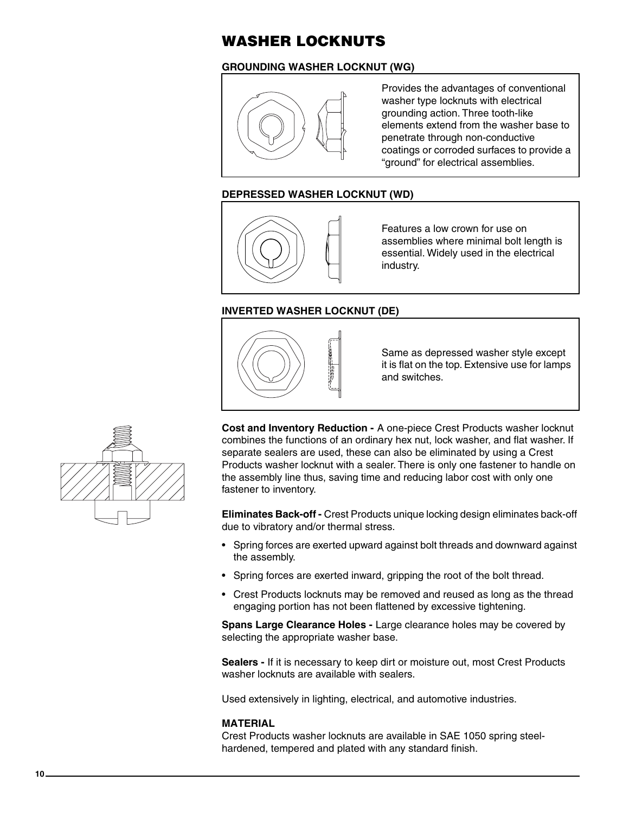### **WASHER LOCKNUTS**

### **GROUNDING WASHER LOCKNUT (WG)**



Provides the advantages of conventional washer type locknuts with electrical grounding action. Three tooth-like elements extend from the washer base to penetrate through non-conductive coatings or corroded surfaces to provide a "ground" for electrical assemblies.

### **DEPRESSED WASHER LOCKNUT (WD)**



Features a low crown for use on assemblies where minimal bolt length is essential. Widely used in the electrical industry.

### **INVERTED WASHER LOCKNUT (DE)**



Same as depressed washer style except it is flat on the top. Extensive use for lamps and switches.



**Cost and Inventory Reduction -** A one-piece Crest Products washer locknut combines the functions of an ordinary hex nut, lock washer, and flat washer. If separate sealers are used, these can also be eliminated by using a Crest Products washer locknut with a sealer. There is only one fastener to handle on the assembly line thus, saving time and reducing labor cost with only one fastener to inventory.

**Eliminates Back-off -** Crest Products unique locking design eliminates back-off due to vibratory and/or thermal stress.

- Spring forces are exerted upward against bolt threads and downward against the assembly.
- Spring forces are exerted inward, gripping the root of the bolt thread.
- Crest Products locknuts may be removed and reused as long as the thread engaging portion has not been flattened by excessive tightening.

**Spans Large Clearance Holes -** Large clearance holes may be covered by selecting the appropriate washer base.

**Sealers -** If it is necessary to keep dirt or moisture out, most Crest Products washer locknuts are available with sealers.

Used extensively in lighting, electrical, and automotive industries.

### **MATERIAL**

Crest Products washer locknuts are available in SAE 1050 spring steelhardened, tempered and plated with any standard finish.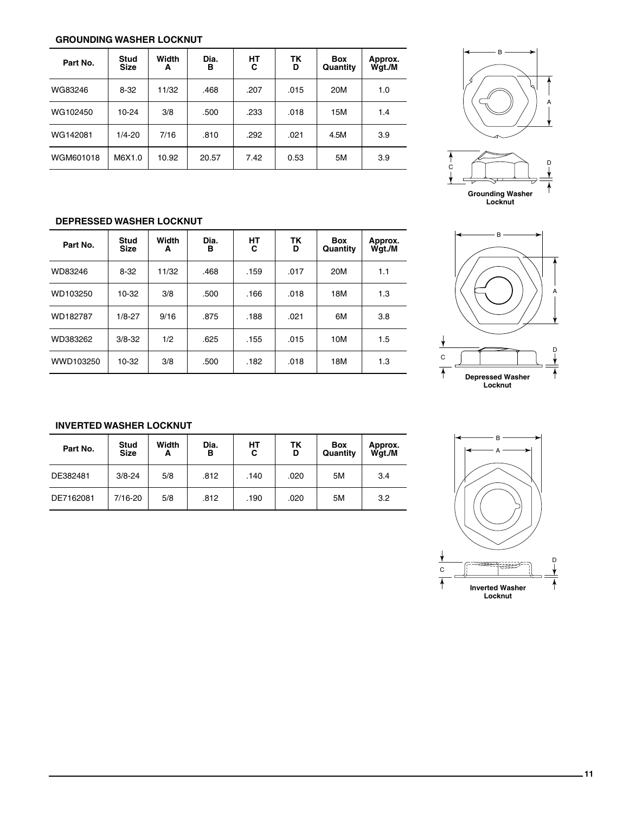### **GROUNDING WASHER LOCKNUT**

| Part No.  | <b>Stud</b><br><b>Size</b> | Width<br>A | Dia.<br>в | HТ<br>С | ΤK<br>D | <b>Box</b><br>Quantity | Approx.<br>Wgt./M |
|-----------|----------------------------|------------|-----------|---------|---------|------------------------|-------------------|
| WG83246   | $8 - 32$                   | 11/32      | .468      | .207    | .015    | 20M                    | 1.0               |
| WG102450  | $10 - 24$                  | 3/8        | .500      | .233    | .018    | 15M                    | 1.4               |
| WG142081  | $1/4 - 20$                 | 7/16       | .810      | .292    | .021    | 4.5M                   | 3.9               |
| WGM601018 | M6X1.0                     | 10.92      | 20.57     | 7.42    | 0.53    | 5M                     | 3.9               |



### **DEPRESSED WASHER LOCKNUT**

| Part No.  | <b>Stud</b><br><b>Size</b> | Width<br>A | Dia.<br>в | HТ<br>C | <b>TK</b><br>D | Box<br>Quantity | Approx.<br>Wgt./M |
|-----------|----------------------------|------------|-----------|---------|----------------|-----------------|-------------------|
| WD83246   | $8-32$                     | 11/32      | .468      | .159    | .017           | 20M             | 1.1               |
| WD103250  | 10-32                      | 3/8        | .500      | .166    | .018           | 18M             | 1.3               |
| WD182787  | $1/8 - 27$                 | 9/16       | .875      | .188    | .021           | 6M              | 3.8               |
| WD383262  | $3/8 - 32$                 | 1/2        | .625      | .155    | .015           | 10M             | 1.5               |
| WWD103250 | 10-32                      | 3/8        | .500      | .182    | .018           | 18M             | 1.3               |



### **INVERTED WASHER LOCKNUT**

| Part No.  | <b>Stud</b><br><b>Size</b> | Width<br>A | Dia.<br>в | HТ<br>С | TΚ<br>D | <b>Box</b><br>Quantity | Approx.<br>Wgt./M |
|-----------|----------------------------|------------|-----------|---------|---------|------------------------|-------------------|
| DE382481  | $3/8 - 24$                 | 5/8        | .812      | .140    | .020    | 5M                     | 3.4               |
| DE7162081 | 7/16-20                    | 5/8        | .812      | .190    | .020    | 5M                     | 3.2               |

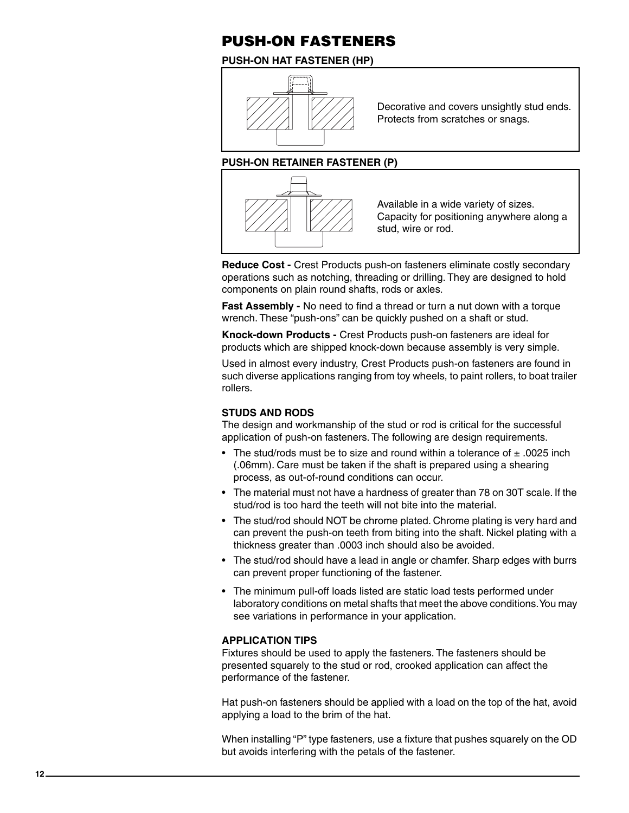### **PUSH-ON FASTENERS**

### **PUSH-ON HAT FASTENER (HP)**



Decorative and covers unsightly stud ends. Protects from scratches or snags.

### **PUSH-ON RETAINER FASTENER (P)**



Available in a wide variety of sizes. Capacity for positioning anywhere along a stud, wire or rod.

**Reduce Cost -** Crest Products push-on fasteners eliminate costly secondary operations such as notching, threading or drilling. They are designed to hold components on plain round shafts, rods or axles.

**Fast Assembly -** No need to find a thread or turn a nut down with a torque wrench. These "push-ons" can be quickly pushed on a shaft or stud.

**Knock-down Products -** Crest Products push-on fasteners are ideal for products which are shipped knock-down because assembly is very simple.

Used in almost every industry, Crest Products push-on fasteners are found in such diverse applications ranging from toy wheels, to paint rollers, to boat trailer rollers.

### **STUDS AND RODS**

The design and workmanship of the stud or rod is critical for the successful application of push-on fasteners. The following are design requirements.

- The stud/rods must be to size and round within a tolerance of  $\pm$  .0025 inch (.06mm). Care must be taken if the shaft is prepared using a shearing process, as out-of-round conditions can occur.
- The material must not have a hardness of greater than 78 on 30T scale. If the stud/rod is too hard the teeth will not bite into the material.
- The stud/rod should NOT be chrome plated. Chrome plating is very hard and can prevent the push-on teeth from biting into the shaft. Nickel plating with a thickness greater than .0003 inch should also be avoided.
- The stud/rod should have a lead in angle or chamfer. Sharp edges with burrs can prevent proper functioning of the fastener.
- The minimum pull-off loads listed are static load tests performed under laboratory conditions on metal shafts that meet the above conditions. You may see variations in performance in your application.

### **APPLICATION TIPS**

Fixtures should be used to apply the fasteners. The fasteners should be presented squarely to the stud or rod, crooked application can affect the performance of the fastener.

Hat push-on fasteners should be applied with a load on the top of the hat, avoid applying a load to the brim of the hat.

When installing "P" type fasteners, use a fixture that pushes squarely on the OD but avoids interfering with the petals of the fastener.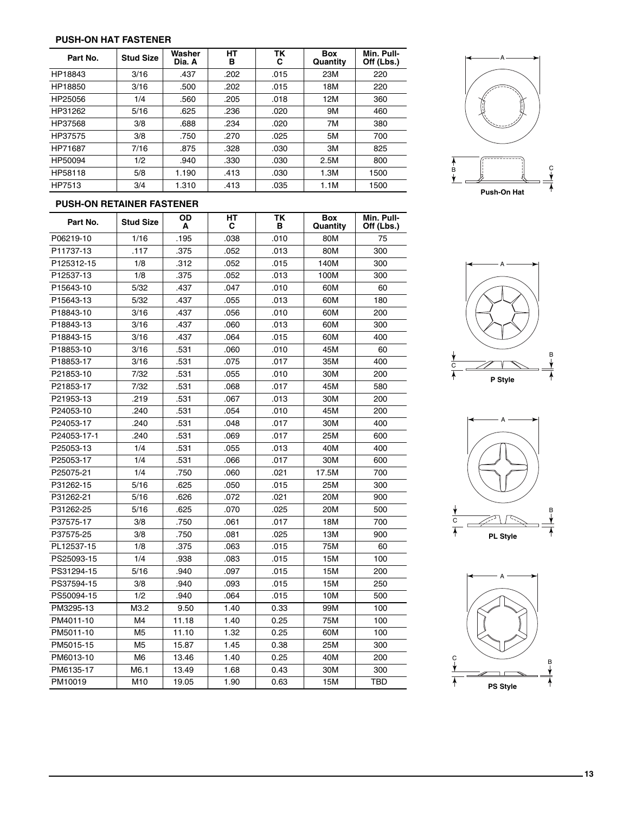#### **PUSH-ON HAT FASTENER**

| Part No. | <b>Stud Size</b> | Washer<br>Dia. A | HТ<br>в | TK<br>С | <b>Box</b><br>Quantity | Min. Pull-<br>Off (Lbs.) |
|----------|------------------|------------------|---------|---------|------------------------|--------------------------|
| HP18843  | 3/16             | .437             | .202    | .015    | 23M                    | 220                      |
| HP18850  | 3/16             | .500             | .202    | .015    | 18M                    | 220                      |
| HP25056  | 1/4              | .560             | .205    | .018    | 12M                    | 360                      |
| HP31262  | 5/16             | .625             | .236    | .020    | 9M                     | 460                      |
| HP37568  | 3/8              | .688             | .234    | .020    | 7M                     | 380                      |
| HP37575  | 3/8              | .750             | .270    | .025    | 5M                     | 700                      |
| HP71687  | 7/16             | .875             | .328    | .030    | 3M                     | 825                      |
| HP50094  | 1/2              | .940             | .330    | .030    | 2.5M                   | 800                      |
| HP58118  | 5/8              | 1.190            | .413    | .030    | 1.3M                   | 1500                     |
| HP7513   | 3/4              | 1.310            | .413    | .035    | 1.1M                   | 1500                     |



### **PUSH-ON RETAINER FASTENER**

| Part No.    | <b>Stud Size</b> | OD<br>A | HТ<br>С | TΚ<br>в | <b>Box</b><br>Quantity | Min. Pull-<br>Off (Lbs.) |
|-------------|------------------|---------|---------|---------|------------------------|--------------------------|
| P06219-10   | 1/16             | .195    | .038    | .010    | 80M                    | 75                       |
| P11737-13   | .117             | .375    | .052    | .013    | 80M                    | 300                      |
| P125312-15  | 1/8              | .312    | .052    | .015    | 140M                   | 300                      |
| P12537-13   | 1/8              | .375    | .052    | .013    | 100M                   | 300                      |
| P15643-10   | 5/32             | .437    | .047    | .010    | 60M                    | 60                       |
| P15643-13   | 5/32             | .437    | .055    | .013    | 60M                    | 180                      |
| P18843-10   | 3/16             | .437    | .056    | .010    | 60M                    | 200                      |
| P18843-13   | 3/16             | .437    | .060    | .013    | 60M                    | 300                      |
| P18843-15   | 3/16             | .437    | .064    | .015    | 60M                    | 400                      |
| P18853-10   | 3/16             | .531    | .060    | .010    | 45M                    | 60                       |
| P18853-17   | 3/16             | .531    | .075    | .017    | 35M                    | 400                      |
| P21853-10   | 7/32             | .531    | .055    | .010    | 30M                    | 200                      |
| P21853-17   | 7/32             | .531    | .068    | .017    | 45M                    | 580                      |
| P21953-13   | .219             | .531    | .067    | .013    | 30M                    | 200                      |
| P24053-10   | .240             | .531    | .054    | .010    | 45M                    | 200                      |
| P24053-17   | .240             | .531    | .048    | .017    | 30M                    | 400                      |
| P24053-17-1 | .240             | .531    | .069    | .017    | 25M                    | 600                      |
| P25053-13   | 1/4              | .531    | .055    | .013    | 40M                    | 400                      |
| P25053-17   | 1/4              | .531    | .066    | .017    | 30M                    | 600                      |
| P25075-21   | 1/4              | .750    | .060    | .021    | 17.5M                  | 700                      |
| P31262-15   | 5/16             | .625    | .050    | .015    | 25M                    | 300                      |
| P31262-21   | 5/16             | .626    | .072    | .021    | 20M                    | 900                      |
| P31262-25   | 5/16             | .625    | .070    | .025    | 20M                    | 500                      |
| P37575-17   | 3/8              | .750    | .061    | .017    | 18M                    | 700                      |
| P37575-25   | 3/8              | .750    | .081    | .025    | 13M                    | 900                      |
| PL12537-15  | 1/8              | .375    | .063    | .015    | 75M                    | 60                       |
| PS25093-15  | 1/4              | .938    | .083    | .015    | 15M                    | 100                      |
| PS31294-15  | 5/16             | .940    | .097    | .015    | 15M                    | 200                      |
| PS37594-15  | 3/8              | .940    | .093    | .015    | 15M                    | 250                      |
| PS50094-15  | 1/2              | .940    | .064    | .015    | 10M                    | 500                      |
| PM3295-13   | M3.2             | 9.50    | 1.40    | 0.33    | 99M                    | 100                      |
| PM4011-10   | M4               | 11.18   | 1.40    | 0.25    | 75M                    | 100                      |
| PM5011-10   | M <sub>5</sub>   | 11.10   | 1.32    | 0.25    | 60M                    | 100                      |
| PM5015-15   | M <sub>5</sub>   | 15.87   | 1.45    | 0.38    | 25M                    | 300                      |
| PM6013-10   | M <sub>6</sub>   | 13.46   | 1.40    | 0.25    | 40M                    | 200                      |
| PM6135-17   | M6.1             | 13.49   | 1.68    | 0.43    | 30M                    | 300                      |
| PM10019     | M <sub>10</sub>  | 19.05   | 1.90    | 0.63    | 15M                    | TBD                      |





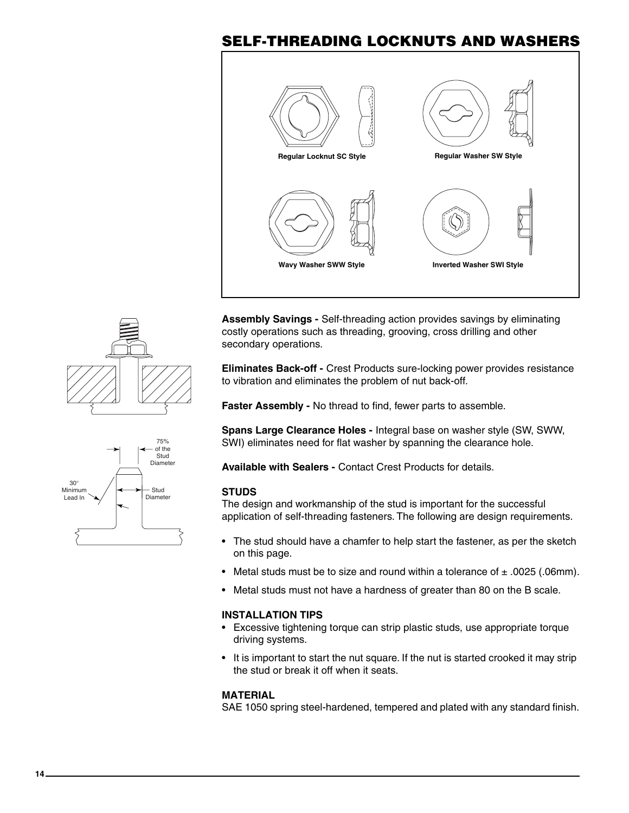### **SELF-THREADING LOCKNUTS AND WASHERS**



**Assembly Savings -** Self-threading action provides savings by eliminating costly operations such as threading, grooving, cross drilling and other secondary operations.

**Eliminates Back-off -** Crest Products sure-locking power provides resistance to vibration and eliminates the problem of nut back-off.

**Faster Assembly -** No thread to find, fewer parts to assemble.

**Spans Large Clearance Holes -** Integral base on washer style (SW, SWW, SWI) eliminates need for flat washer by spanning the clearance hole.

**Available with Sealers -** Contact Crest Products for details.

### **STUDS**

The design and workmanship of the stud is important for the successful application of self-threading fasteners. The following are design requirements.

- The stud should have a chamfer to help start the fastener, as per the sketch on this page.
- Metal studs must be to size and round within a tolerance of  $\pm$  .0025 (.06mm).
- Metal studs must not have a hardness of greater than 80 on the B scale.

### **INSTALLATION TIPS**

- Excessive tightening torque can strip plastic studs, use appropriate torque driving systems.
- It is important to start the nut square. If the nut is started crooked it may strip the stud or break it off when it seats.

### **MATERIAL**

SAE 1050 spring steel-hardened, tempered and plated with any standard finish.



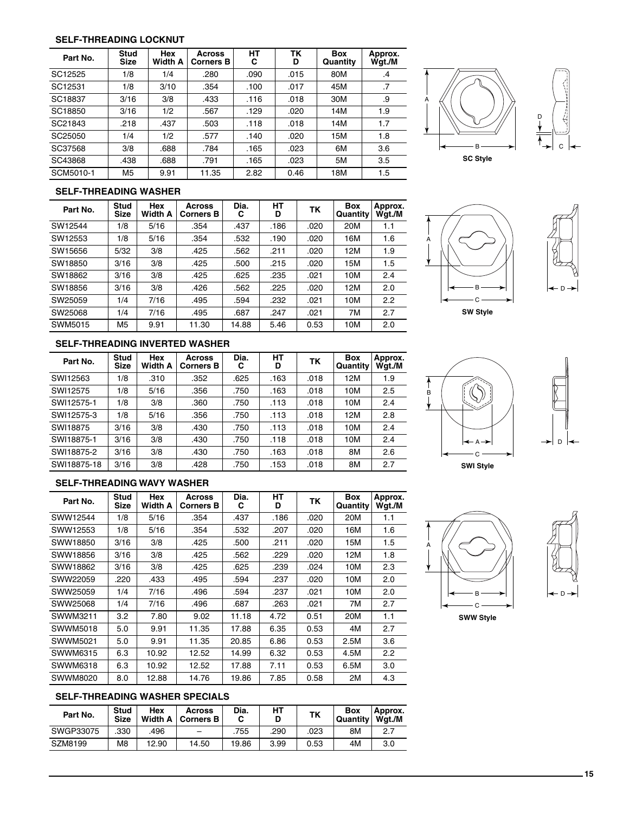#### **SELF-THREADING LOCKNUT**

| Part No.  | <b>Stud</b><br><b>Size</b> | <b>Hex</b><br>Width A | Across<br><b>Corners B</b> | НΤ<br>С | TK<br>D | <b>Box</b><br>Quantity | Approx.<br>Wgt./M |
|-----------|----------------------------|-----------------------|----------------------------|---------|---------|------------------------|-------------------|
| SC12525   | 1/8                        | 1/4                   | .280                       | .090    | .015    | 80M                    | .4                |
| SC12531   | 1/8                        | 3/10                  | .354                       | .100    | .017    | 45M                    | $\cdot$ 7         |
| SC18837   | 3/16                       | 3/8                   | .433                       | .116    | .018    | 30M                    | .9                |
| SC18850   | 3/16                       | 1/2                   | .567                       | .129    | .020    | 14M                    | 1.9               |
| SC21843   | .218                       | .437                  | .503                       | .118    | .018    | 14M                    | 1.7               |
| SC25050   | 1/4                        | 1/2                   | .577                       | .140    | .020    | 15M                    | 1.8               |
| SC37568   | 3/8                        | .688                  | .784                       | .165    | .023    | 6M                     | 3.6               |
| SC43868   | .438                       | .688                  | .791                       | .165    | .023    | 5M                     | 3.5               |
| SCM5010-1 | M <sub>5</sub>             | 9.91                  | 11.35                      | 2.82    | 0.46    | 18M                    | 1.5               |





#### **SELF-THREADING WASHER**

| Part No. | <b>Stud</b><br>Size | Hex<br>Width A | Across<br><b>Corners B</b> | Dia.<br>С | HТ<br>D | ΤK   | <b>Box</b><br>Quantity | Approx.<br>Wqt./M |
|----------|---------------------|----------------|----------------------------|-----------|---------|------|------------------------|-------------------|
| SW12544  | 1/8                 | 5/16           | .354                       | .437      | .186    | .020 | 20M                    | 1.1               |
| SW12553  | 1/8                 | 5/16           | .354                       | .532      | .190    | .020 | 16M                    | 1.6               |
| SW15656  | 5/32                | 3/8            | .425                       | .562      | .211    | .020 | 12M                    | 1.9               |
| SW18850  | 3/16                | 3/8            | .425                       | .500      | .215    | .020 | 15M                    | 1.5               |
| SW18862  | 3/16                | 3/8            | .425                       | .625      | .235    | .021 | 10M                    | 2.4               |
| SW18856  | 3/16                | 3/8            | .426                       | .562      | .225    | .020 | 12M                    | 2.0               |
| SW25059  | 1/4                 | 7/16           | .495                       | .594      | .232    | .021 | 10M                    | 2.2               |
| SW25068  | 1/4                 | 7/16           | .495                       | .687      | .247    | .021 | 7M                     | 2.7               |
| SWM5015  | M <sub>5</sub>      | 9.91           | 11.30                      | 14.88     | 5.46    | 0.53 | 10M                    | 2.0               |





**SW Style**

### **SELF-THREADING INVERTED WASHER**

| Part No.    | <b>Stud</b><br><b>Size</b> | Hex<br><b>Width A</b> | <b>Across</b><br><b>Corners B</b> | Dia.<br>С | HТ<br>D | TK   | <b>Box</b><br>Quantity | Approx.<br>Wqt./M |
|-------------|----------------------------|-----------------------|-----------------------------------|-----------|---------|------|------------------------|-------------------|
| SWI12563    | 1/8                        | .310                  | .352                              | .625      | .163    | .018 | 12M                    | 1.9               |
| SWI12575    | 1/8                        | 5/16                  | .356                              | .750      | .163    | .018 | 10M                    | 2.5               |
| SWI12575-1  | 1/8                        | 3/8                   | .360                              | .750      | .113    | .018 | 10M                    | 2.4               |
| SWI12575-3  | 1/8                        | 5/16                  | .356                              | .750      | .113    | .018 | 12M                    | 2.8               |
| SWI18875    | 3/16                       | 3/8                   | .430                              | .750      | .113    | .018 | 10M                    | 2.4               |
| SWI18875-1  | 3/16                       | 3/8                   | .430                              | .750      | .118    | .018 | 10M                    | 2.4               |
| SWI18875-2  | 3/16                       | 3/8                   | .430                              | .750      | .163    | .018 | 8M                     | 2.6               |
| SWI18875-18 | 3/16                       | 3/8                   | .428                              | .750      | .153    | .018 | 8M                     | 2.7               |





**SWI Style**

### **SELF-THREADING WAVY WASHER**

| Part No. | <b>Stud</b><br><b>Size</b> | Hex<br><b>Width A</b> | Across<br><b>Corners B</b> | Dia.<br>C | HТ<br>D | ТΚ   | <b>Box</b><br>Quantity | Approx.<br>Wgt./M |
|----------|----------------------------|-----------------------|----------------------------|-----------|---------|------|------------------------|-------------------|
| SWW12544 | 1/8                        | 5/16                  | .354                       | .437      | .186    | .020 | 20M                    | 1.1               |
| SWW12553 | 1/8                        | 5/16                  | .354                       | .532      | .207    | .020 | 16M                    | 1.6               |
| SWW18850 | 3/16                       | 3/8                   | .425                       | .500      | .211    | .020 | 15M                    | $1.5\,$           |
| SWW18856 | 3/16                       | 3/8                   | .425                       | .562      | .229    | .020 | 12M                    | 1.8               |
| SWW18862 | 3/16                       | 3/8                   | .425                       | .625      | .239    | .024 | 10M                    | 2.3               |
| SWW22059 | .220                       | .433                  | .495                       | .594      | .237    | .020 | 10M                    | 2.0               |
| SWW25059 | 1/4                        | 7/16                  | .496                       | .594      | .237    | .021 | 10M                    | 2.0               |
| SWW25068 | 1/4                        | 7/16                  | .496                       | .687      | .263    | .021 | 7M                     | 2.7               |
| SWWM3211 | 3.2                        | 7.80                  | 9.02                       | 11.18     | 4.72    | 0.51 | 20M                    | 1.1               |
| SWWM5018 | 5.0                        | 9.91                  | 11.35                      | 17.88     | 6.35    | 0.53 | 4M                     | 2.7               |
| SWWM5021 | 5.0                        | 9.91                  | 11.35                      | 20.85     | 6.86    | 0.53 | 2.5M                   | 3.6               |
| SWWM6315 | 6.3                        | 10.92                 | 12.52                      | 14.99     | 6.32    | 0.53 | 4.5M                   | 2.2               |
| SWWM6318 | 6.3                        | 10.92                 | 12.52                      | 17.88     | 7.11    | 0.53 | 6.5M                   | 3.0               |
| SWWM8020 | 8.0                        | 12.88                 | 14.76                      | 19.86     | 7.85    | 0.58 | 2M                     | 4.3               |





**SWW Style**

### **SELF-THREADING WASHER SPECIALS**

| Part No.  | <b>Stud</b><br><b>Size</b> | Hex<br><b>Width A</b> | Across<br><b>Corners B</b> | Dia.  | НΤ   | <b>TK</b> | Box<br>Quantity | Approx.<br>Wat./M |
|-----------|----------------------------|-----------------------|----------------------------|-------|------|-----------|-----------------|-------------------|
| SWGP33075 | 330                        | .496                  | -                          | .755  | .290 | 023       | 8Μ              | 2.7               |
| SZM8199   | M8                         | 12.90                 | 14.50                      | 19.86 | 3.99 | 0.53      | 4M              | 3.0               |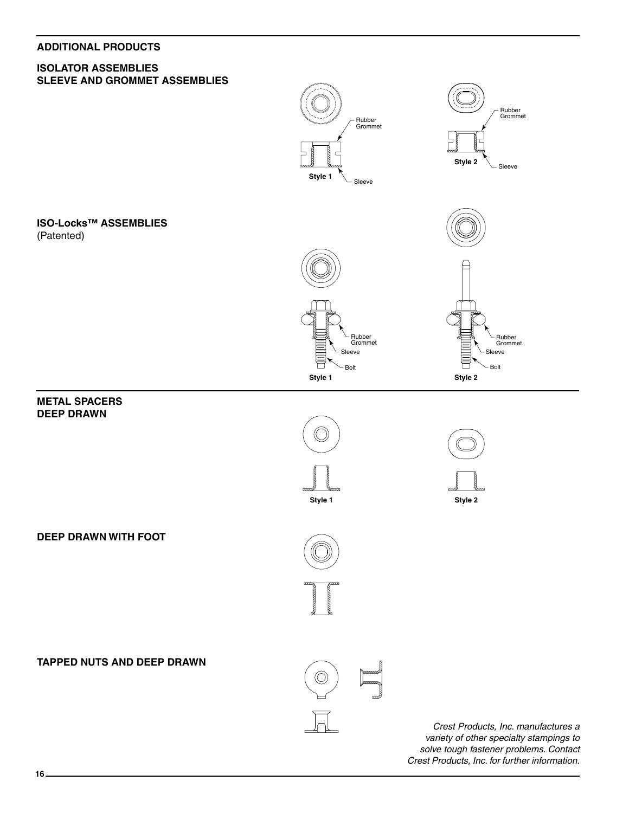### **ADDITIONAL PRODUCTS**

### **ISOLATOR ASSEMBLIES SLEEVE AND GROMMET ASSEMBLIES**



*Crest Products, Inc. manufactures a variety of other specialty stampings to solve tough fastener problems. Contact Crest Products, Inc. for further information.*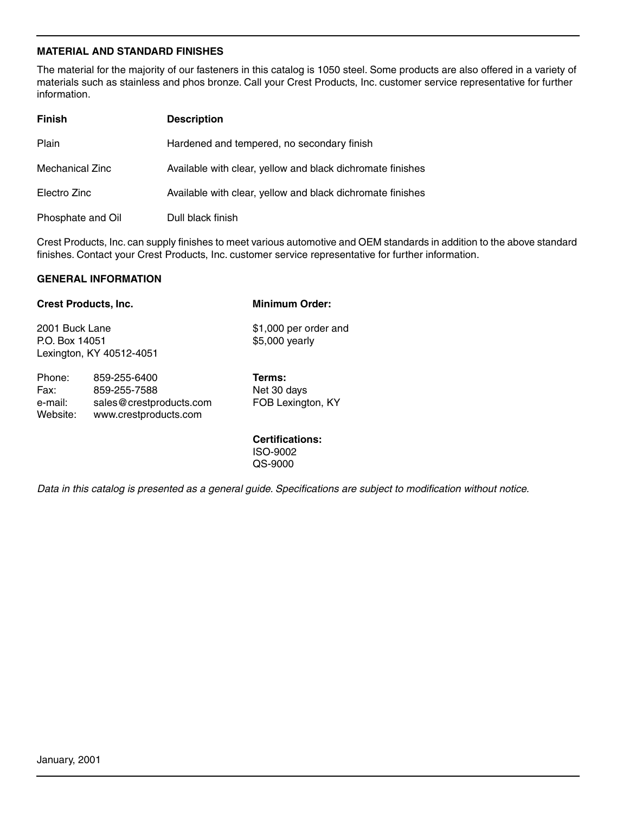### **MATERIAL AND STANDARD FINISHES**

The material for the majority of our fasteners in this catalog is 1050 steel. Some products are also offered in a variety of materials such as stainless and phos bronze. Call your Crest Products, Inc. customer service representative for further information.

| <b>Finish</b>          | <b>Description</b>                                         |
|------------------------|------------------------------------------------------------|
| Plain                  | Hardened and tempered, no secondary finish                 |
| <b>Mechanical Zinc</b> | Available with clear, yellow and black dichromate finishes |
| Electro Zinc           | Available with clear, yellow and black dichromate finishes |
| Phosphate and Oil      | Dull black finish                                          |

Crest Products, Inc. can supply finishes to meet various automotive and OEM standards in addition to the above standard finishes. Contact your Crest Products, Inc. customer service representative for further information.

#### **GENERAL INFORMATION**

Website: www.crestproducts.com

|                                  | <b>Crest Products, Inc.</b>                             | <b>Minimum Order:</b>                      |  |  |
|----------------------------------|---------------------------------------------------------|--------------------------------------------|--|--|
| 2001 Buck Lane<br>P.O. Box 14051 | Lexington, KY 40512-4051                                | \$1,000 per order and<br>\$5,000 yearly    |  |  |
| Phone:<br>Fax:<br>e-mail:        | 859-255-6400<br>859-255-7588<br>sales@crestproducts.com | Terms:<br>Net 30 days<br>FOB Lexington, KY |  |  |

**Certifications:** ISO-9002 QS-9000

*Data in this catalog is presented as a general guide. Specifications are subject to modification without notice.*